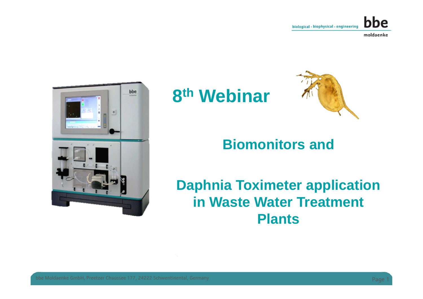



## **8th Webinar**

![](_page_0_Picture_4.jpeg)

### **Biomonitors and**

### **Daphnia Toximeter applicationin Waste Water Treatment Plants**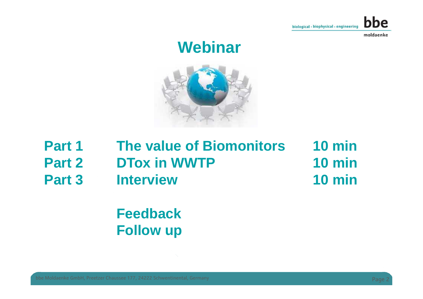![](_page_1_Picture_0.jpeg)

### **Webinar**

![](_page_1_Figure_3.jpeg)

| Part 1        | <b>The value of Biomonitors</b> | $10 \text{ min}$ |
|---------------|---------------------------------|------------------|
| <b>Part 2</b> | <b>DTox in WWTP</b>             | $10 \text{ min}$ |
| Part 3        | <b>Interview</b>                | $10 \text{ min}$ |

### **FeedbackFollow up**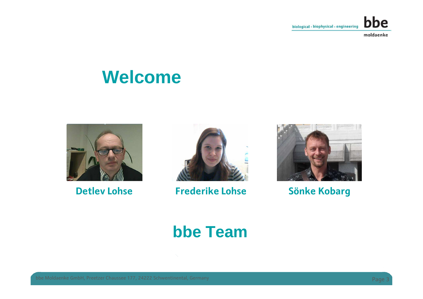![](_page_2_Picture_0.jpeg)

### **Welcome**

![](_page_2_Picture_3.jpeg)

**Detlev Lohse**

![](_page_2_Picture_5.jpeg)

**Frederike Lohse Sönke Kobarg**

![](_page_2_Picture_7.jpeg)

### **bbe Team**

bbe Moldaenke GmbH, Preetzer Chaussee 177, 24222 Schwentinental, Germany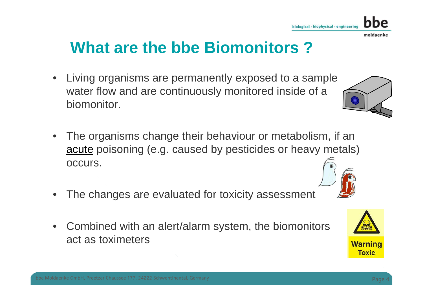# **What are the bbe Biomonitors ?**

- $\bullet$  Living organisms are permanently exposed to a sample water flow and are continuously monitored inside of a biomonitor.
- • The organisms change their behaviour or metabolism, if an acute poisoning (e.g. caused by pesticides or heavy metals) occurs.
- $\bullet$ The changes are evaluated for toxicity assessment
- $\bullet$  Combined with an alert/alarm system, the biomonitorsact as toximeters

![](_page_3_Picture_6.jpeg)

![](_page_3_Picture_7.jpeg)

![](_page_3_Picture_8.jpeg)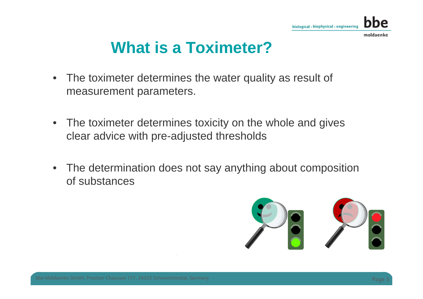![](_page_4_Picture_0.jpeg)

### **What is a Toximeter?**

- $\bullet$  The toximeter determines the water quality as result of measurement parameters.
- $\bullet$  The toximeter determines toxicity on the whole and gives clear advice with pre-adjusted thresholds
- $\bullet$  The determination does not say anything about composition of substances

![](_page_4_Picture_5.jpeg)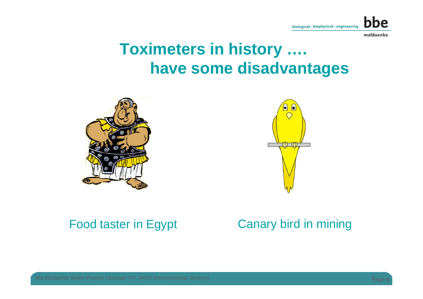![](_page_5_Picture_0.jpeg)

### **Toximeters in history ….have some disadvantages**

![](_page_5_Picture_3.jpeg)

![](_page_5_Picture_4.jpeg)

#### Food taster in Egypt

### Canary bird in mining

bbe Moldaenke GmbH, Preetzer Chaussee 177, 24222 Schwentinental, Germany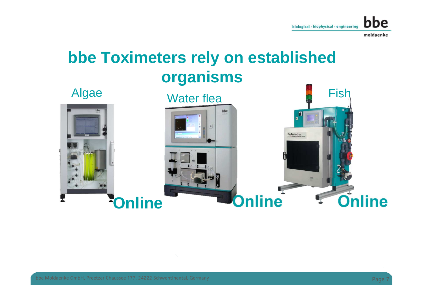![](_page_6_Picture_0.jpeg)

## **bbe Toximeters rely on established organisms**

![](_page_6_Picture_3.jpeg)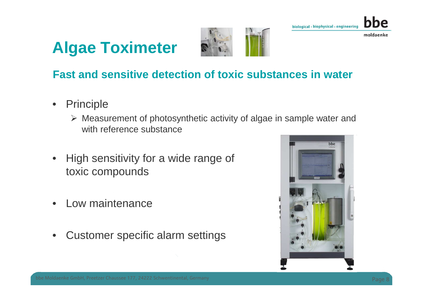![](_page_7_Picture_0.jpeg)

![](_page_7_Picture_1.jpeg)

![](_page_7_Picture_2.jpeg)

#### **Fast and sensitive detection of toxic substances in water**

- • Principle
	- > Measurement of photosynthetic activity of algae in sample water and<br>with reference substance with reference substance
- $\bullet$  High sensitivity for a wide range of toxic compounds
- •Low maintenance
- •Customer specific alarm settings

![](_page_7_Picture_10.jpeg)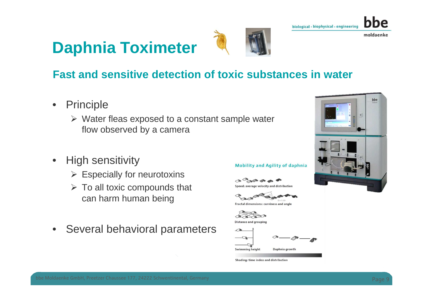![](_page_8_Picture_0.jpeg)

![](_page_8_Picture_1.jpeg)

![](_page_8_Picture_2.jpeg)

bbe

### **Fast and sensitive detection of toxic substances in water**

- $\bullet$  Principle
	- $\triangleright$  Water fleas exposed to a constant sample water flow observed by a camera
- $\bullet$  High sensitivity
	- $\triangleright$  Especially for neurotoxins
	- > To all toxic compounds that can harm human being
- $\bullet$ Several behavioral parameters

#### **Mobility and Agility of daphnia**

 $\bigcirc \mathbb{A} \xrightarrow{\bigcirc \mathbb{B}} \bigcirc \mathbb{A} \xrightarrow{\bullet} \xrightarrow{\bullet} \xrightarrow{\bullet}$ Speed: average velocity and distribution

Fractal dimensions: curviness and angle

**Distance and grouping** 

![](_page_8_Picture_17.jpeg)

Shading: time index and distribution

![](_page_8_Picture_19.jpeg)

![](_page_8_Picture_21.jpeg)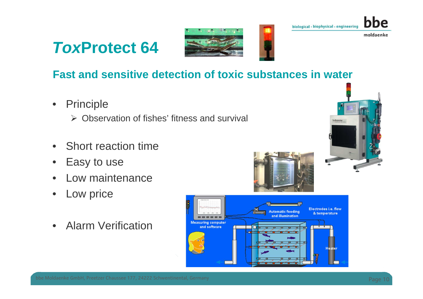### **ToxProtect 64**

![](_page_9_Picture_1.jpeg)

![](_page_9_Picture_2.jpeg)

moldaenke

### **Fast and sensitive detection of toxic substances in water**

- $\bullet$  Principle
	- $\triangleright$  Observation of fishes' fitness and survival
- $\bullet$ Short reaction time
- $\bullet$ Easy to use
- •Low maintenance
- •Low price
- •Alarm Verification

![](_page_9_Picture_12.jpeg)

![](_page_9_Picture_13.jpeg)